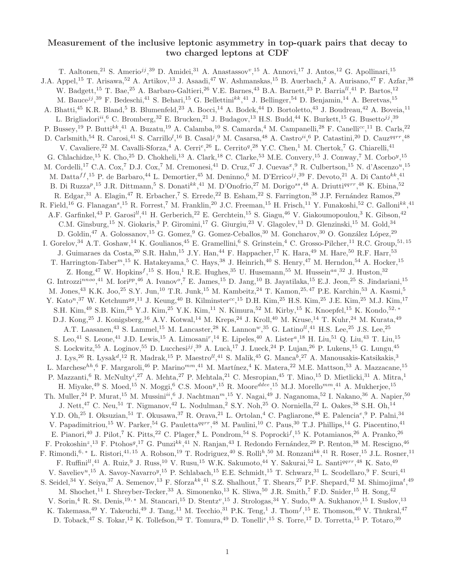## Measurement of the inclusive leptonic asymmetry in top-quark pairs that decay to two charged leptons at CDF

T. Aaltonen,<sup>21</sup> S. Amerio<sup>jj</sup>,<sup>39</sup> D. Amidei,<sup>31</sup> A. Anastassov<sup>v</sup>,<sup>15</sup> A. Annovi,<sup>17</sup> J. Antos,<sup>12</sup> G. Apollinari,<sup>15</sup> J.A. Appel,<sup>15</sup> T. Arisawa,<sup>52</sup> A. Artikov,<sup>13</sup> J. Asaadi,<sup>47</sup> W. Ashmanskas,<sup>15</sup> B. Auerbach,<sup>2</sup> A. Aurisano,<sup>47</sup> F. Azfar,<sup>38</sup> W. Badgett,<sup>15</sup> T. Bae,<sup>25</sup> A. Barbaro-Galtieri,<sup>26</sup> V.E. Barnes,<sup>43</sup> B.A. Barnett,<sup>23</sup> P. Barria<sup>ll</sup>,<sup>41</sup> P. Bartos,<sup>12</sup> M. Bauce<sup>jj</sup>,<sup>39</sup> F. Bedeschi,<sup>41</sup> S. Behari,<sup>15</sup> G. Bellettini<sup>kk</sup>,<sup>41</sup> J. Bellinger,<sup>54</sup> D. Benjamin,<sup>14</sup> A. Beretvas,<sup>15</sup> A. Bhatti,<sup>45</sup> K.R. Bland,<sup>5</sup> B. Blumenfeld,<sup>23</sup> A. Bocci,<sup>14</sup> A. Bodek,<sup>44</sup> D. Bortoletto,<sup>43</sup> J. Boudreau,<sup>42</sup> A. Boveia,<sup>11</sup> L. Brigliadori<sup>ii</sup>, <sup>6</sup> C. Bromberg, <sup>32</sup> E. Brucken, <sup>21</sup> J. Budagov, <sup>13</sup> H.S. Budd, <sup>44</sup> K. Burkett, <sup>15</sup> G. Busetto<sup>jj</sup>, <sup>39</sup> P. Bussey,<sup>19</sup> P. Butti<sup>kk</sup>,<sup>41</sup> A. Buzatu,<sup>19</sup> A. Calamba,<sup>10</sup> S. Camarda,<sup>4</sup> M. Campanelli,<sup>28</sup> F. Canelli<sup>cc</sup>,<sup>11</sup> B. Carls,<sup>22</sup> D. Carlsmith,<sup>54</sup> R. Carosi,<sup>41</sup> S. Carrillo<sup>l</sup>,<sup>16</sup> B. Casal<sup>j</sup>,<sup>9</sup> M. Casarsa,<sup>48</sup> A. Castro<sup>ii</sup>,<sup>6</sup> P. Catastini,<sup>20</sup> D. Cauz<sup>qqrr</sup>,<sup>48</sup> V. Cavaliere,<sup>22</sup> M. Cavalli-Sforza,<sup>4</sup> A. Cerri<sup>e</sup>,<sup>26</sup> L. Cerrito<sup>q</sup>,<sup>28</sup> Y.C. Chen,<sup>1</sup> M. Chertok,<sup>7</sup> G. Chiarelli,<sup>41</sup> G. Chlachidze,<sup>15</sup> K. Cho,<sup>25</sup> D. Chokheli,<sup>13</sup> A. Clark,<sup>18</sup> C. Clarke,<sup>53</sup> M.E. Convery,<sup>15</sup> J. Conway,<sup>7</sup> M. Corbo<sup>y</sup>,<sup>15</sup> M. Cordelli,<sup>17</sup> C.A. Cox,<sup>7</sup> D.J. Cox,<sup>7</sup> M. Cremonesi,<sup>41</sup> D. Cruz,<sup>47</sup> J. Cuevas<sup>x</sup>,<sup>9</sup> R. Culbertson,<sup>15</sup> N. d'Ascenzo<sup>u</sup>,<sup>15</sup> M. Datta $^{ff}$ ,<sup>15</sup> P. de Barbaro,<sup>44</sup> L. Demortier,<sup>45</sup> M. Deninno,<sup>6</sup> M. D'Errico<sup>jj</sup>,<sup>39</sup> F. Devoto,<sup>21</sup> A. Di Canto<sup>kk</sup>,<sup>41</sup> B. Di Ruzza<sup>p</sup>,<sup>15</sup> J.R. Dittmann,<sup>5</sup> S. Donati<sup>kk</sup>,<sup>41</sup> M. D'Onofrio,<sup>27</sup> M. Dorigo<sup>ss</sup>,<sup>48</sup> A. Driutti<sup>qqrr</sup>,<sup>48</sup> K. Ebina,<sup>52</sup> R. Edgar,<sup>31</sup> A. Elagin,<sup>47</sup> R. Erbacher,<sup>7</sup> S. Errede,<sup>22</sup> B. Esham,<sup>22</sup> S. Farrington,<sup>38</sup> J.P. Fernández Ramos,<sup>29</sup> R. Field,<sup>16</sup> G. Flanagan<sup>s</sup>,<sup>15</sup> R. Forrest,<sup>7</sup> M. Franklin,<sup>20</sup> J.C. Freeman,<sup>15</sup> H. Frisch,<sup>11</sup> Y. Funakoshi,<sup>52</sup> C. Galloni<sup>kk</sup>,<sup>41</sup> A.F. Garfinkel,<sup>43</sup> P. Garosi<sup>ll</sup>,<sup>41</sup> H. Gerberich,<sup>22</sup> E. Gerchtein,<sup>15</sup> S. Giagu,<sup>46</sup> V. Giakoumopoulou,<sup>3</sup> K. Gibson,<sup>42</sup> C.M. Ginsburg,<sup>15</sup> N. Giokaris,<sup>3</sup> P. Giromini,<sup>17</sup> G. Giurgiu,<sup>23</sup> V. Glagolev,<sup>13</sup> D. Glenzinski,<sup>15</sup> M. Gold,<sup>34</sup> D. Goldin, <sup>47</sup> A. Golossanov, <sup>15</sup> G. Gomez, <sup>9</sup> G. Gomez-Ceballos, <sup>30</sup> M. Goncharov, <sup>30</sup> O. González López, <sup>29</sup> I. Gorelov,<sup>34</sup> A.T. Goshaw,<sup>14</sup> K. Goulianos,<sup>45</sup> E. Gramellini,<sup>6</sup> S. Grinstein,<sup>4</sup> C. Grosso-Pilcher,<sup>11</sup> R.C. Group,<sup>51,15</sup> J. Guimaraes da Costa, <sup>20</sup> S.R. Hahn, <sup>15</sup> J.Y. Han, <sup>44</sup> F. Happacher, <sup>17</sup> K. Hara, <sup>49</sup> M. Hare, <sup>50</sup> R.F. Harr, <sup>53</sup> T. Harrington-Taber<sup>m</sup>,<sup>15</sup> K. Hatakeyama,<sup>5</sup> C. Hays,<sup>38</sup> J. Heinrich,<sup>40</sup> S. Henry,<sup>47</sup> M. Herndon,<sup>54</sup> A. Hocker,<sup>15</sup> Z. Hong,<sup>47</sup> W. Hopkins<sup>f</sup>,<sup>15</sup> S. Hou,<sup>1</sup> R.E. Hughes,<sup>35</sup> U. Husemann,<sup>55</sup> M. Hussein<sup>aa</sup>,<sup>32</sup> J. Huston,<sup>32</sup> G. Introzzi<sup>nnoo</sup>,<sup>41</sup> M. Iori<sup>pp</sup>,<sup>46</sup> A. Ivanov<sup>o</sup>,<sup>7</sup> E. James,<sup>15</sup> D. Jang,<sup>10</sup> B. Jayatilaka,<sup>15</sup> E.J. Jeon,<sup>25</sup> S. Jindariani,<sup>15</sup> M. Jones,<sup>43</sup> K.K. Joo,<sup>25</sup> S.Y. Jun,<sup>10</sup> T.R. Junk,<sup>15</sup> M. Kambeitz,<sup>24</sup> T. Kamon,<sup>25, 47</sup> P.E. Karchin,<sup>53</sup> A. Kasmi,<sup>5</sup> Y. Kato<sup>n</sup>,<sup>37</sup> W. Ketchum<sup>gg</sup>,<sup>11</sup> J. Keung,<sup>40</sup> B. Kilminster<sup>cc</sup>,<sup>15</sup> D.H. Kim,<sup>25</sup> H.S. Kim,<sup>25</sup> J.E. Kim,<sup>25</sup> M.J. Kim,<sup>17</sup> S.H. Kim,<sup>49</sup> S.B. Kim,<sup>25</sup> Y.J. Kim,<sup>25</sup> Y.K. Kim,<sup>11</sup> N. Kimura,<sup>52</sup> M. Kirby,<sup>15</sup> K. Knoepfel,<sup>15</sup> K. Kondo,<sup>52,</sup> ∗ D.J. Kong,<sup>25</sup> J. Konigsberg,<sup>16</sup> A.V. Kotwal,<sup>14</sup> M. Kreps,<sup>24</sup> J. Kroll,<sup>40</sup> M. Kruse,<sup>14</sup> T. Kuhr,<sup>24</sup> M. Kurata,<sup>49</sup> A.T. Laasanen,<sup>43</sup> S. Lammel,<sup>15</sup> M. Lancaster,<sup>28</sup> K. Lannon<sup>w</sup>,<sup>35</sup> G. Latino<sup>ll</sup>,<sup>41</sup> H.S. Lee,<sup>25</sup> J.S. Lee,<sup>25</sup> S. Leo,<sup>41</sup> S. Leone,<sup>41</sup> J.D. Lewis,<sup>15</sup> A. Limosani<sup>r</sup>,<sup>14</sup> E. Lipeles,<sup>40</sup> A. Lister<sup>a</sup>,<sup>18</sup> H. Liu,<sup>51</sup> Q. Liu,<sup>43</sup> T. Liu,<sup>15</sup> S. Lockwitz,<sup>55</sup> A. Loginov,<sup>55</sup> D. Lucchesi<sup>jj</sup>,<sup>39</sup> A. Lucà,<sup>17</sup> J. Lueck,<sup>24</sup> P. Lujan,<sup>26</sup> P. Lukens,<sup>15</sup> G. Lungu,<sup>45</sup> J. Lys,<sup>26</sup> R. Lysak<sup>d</sup>,<sup>12</sup> R. Madrak,<sup>15</sup> P. Maestro<sup>ll</sup>,<sup>41</sup> S. Malik,<sup>45</sup> G. Manca<sup>b</sup>,<sup>27</sup> A. Manousakis-Katsikakis,<sup>3</sup> L. Marchese<sup>hh</sup>, <sup>6</sup> F. Margaroli, <sup>46</sup> P. Marino<sup>mm</sup>, <sup>41</sup> M. Martínez, <sup>4</sup> K. Matera, <sup>22</sup> M.E. Mattson, <sup>53</sup> A. Mazzacane, <sup>15</sup> P. Mazzanti,<sup>6</sup> R. McNulty<sup>i</sup>,<sup>27</sup> A. Mehta,<sup>27</sup> P. Mehtala,<sup>21</sup> C. Mesropian,<sup>45</sup> T. Miao,<sup>15</sup> D. Mietlicki,<sup>31</sup> A. Mitra,<sup>1</sup> H. Miyake, $^{49}$  S. Moed, $^{15}$  N. Moggi, $^6$  C.S. Moon $^y,^{15}$  R. Moore<sup>ddee</sup>,  $^{15}$  M.J. Morello $^{mm},^{41}$  A. Mukherjee,  $^{15}$ Th. Muller,  $^{24}$  P. Murat,  $^{15}$  M. Mussini $^{ii}$ ,  $^6$  J. Nachtman<sup>m</sup>,  $^{15}$  Y. Nagai,  $^{49}$  J. Naganoma,  $^{52}$  I. Nakano,  $^{36}$  A. Napier,  $^{50}$ J. Nett,<sup>47</sup> C. Neu,<sup>51</sup> T. Nigmanov,<sup>42</sup> L. Nodulman,<sup>2</sup> S.Y. Noh,<sup>25</sup> O. Norniella,<sup>22</sup> L. Oakes,<sup>38</sup> S.H. Oh,<sup>14</sup> Y.D. Oh,<sup>25</sup> I. Oksuzian,<sup>51</sup> T. Okusawa,<sup>37</sup> R. Orava,<sup>21</sup> L. Ortolan,<sup>4</sup> C. Pagliarone,<sup>48</sup> E. Palencia<sup>e</sup>,<sup>9</sup> P. Palni,<sup>34</sup> V. Papadimitriou,<sup>15</sup> W. Parker,<sup>54</sup> G. Pauletta<sup>qqrr</sup>,<sup>48</sup> M. Paulini,<sup>10</sup> C. Paus,<sup>30</sup> T.J. Phillips,<sup>14</sup> G. Piacentino,<sup>41</sup> E. Pianori,<sup>40</sup> J. Pilot,<sup>7</sup> K. Pitts,<sup>22</sup> C. Plager,<sup>8</sup> L. Pondrom,<sup>54</sup> S. Poprocki<sup>f</sup>,<sup>15</sup> K. Potamianos,<sup>26</sup> A. Pranko,<sup>26</sup> F. Prokoshin<sup>z</sup>,<sup>13</sup> F. Ptohos<sup>g</sup>,<sup>17</sup> G. Punzi<sup>kk</sup>,<sup>41</sup> N. Ranjan,<sup>43</sup> I. Redondo Fernández,<sup>29</sup> P. Renton,<sup>38</sup> M. Rescigno,<sup>46</sup> F. Rimondi, 6, \* L. Ristori, 41, 15 A. Robson, <sup>19</sup> T. Rodriguez, <sup>40</sup> S. Rolli<sup>h</sup>, <sup>50</sup> M. Ronzani<sup>kk</sup>, <sup>41</sup> R. Roser, <sup>15</sup> J.L. Rosner, <sup>11</sup> F. Ruffini<sup>ll</sup>,<sup>41</sup> A. Ruiz,<sup>9</sup> J. Russ,<sup>10</sup> V. Rusu,<sup>15</sup> W.K. Sakumoto,<sup>44</sup> Y. Sakurai,<sup>52</sup> L. Santi<sup>qqrr</sup>,<sup>48</sup> K. Sato,<sup>49</sup> V. Saveliev<sup>u</sup>,<sup>15</sup> A. Savoy-Navarro<sup>y</sup>,<sup>15</sup> P. Schlabach,<sup>15</sup> E.E. Schmidt,<sup>15</sup> T. Schwarz,<sup>31</sup> L. Scodellaro,<sup>9</sup> F. Scuri,<sup>41</sup> S. Seidel, <sup>34</sup> Y. Seiya, <sup>37</sup> A. Semenov, <sup>13</sup> F. Sforza<sup>kk</sup>, <sup>41</sup> S.Z. Shalhout, <sup>7</sup> T. Shears, <sup>27</sup> P.F. Shepard, <sup>42</sup> M. Shimojima<sup>t</sup>, <sup>49</sup> M. Shochet,<sup>11</sup> I. Shreyber-Tecker,<sup>33</sup> A. Simonenko,<sup>13</sup> K. Sliwa,<sup>50</sup> J.R. Smith,<sup>7</sup> F.D. Snider,<sup>15</sup> H. Song,<sup>42</sup> V. Sorin,<sup>4</sup> R. St. Denis,<sup>19,\*</sup> M. Stancari,<sup>15</sup> D. Stentz<sup>v</sup>,<sup>15</sup> J. Strologas,<sup>34</sup> Y. Sudo,<sup>49</sup> A. Sukhanov,<sup>15</sup> I. Suslov,<sup>13</sup> K. Takemasa,<sup>49</sup> Y. Takeuchi,<sup>49</sup> J. Tang,<sup>11</sup> M. Tecchio,<sup>31</sup> P.K. Teng,<sup>1</sup> J. Thom<sup>f</sup>,<sup>15</sup> E. Thomson,<sup>40</sup> V. Thukral,<sup>47</sup> D. Toback,<sup>47</sup> S. Tokar,<sup>12</sup> K. Tollefson,<sup>32</sup> T. Tomura,<sup>49</sup> D. Tonelli<sup>e</sup>,<sup>15</sup> S. Torre,<sup>17</sup> D. Torretta,<sup>15</sup> P. Totaro,<sup>39</sup>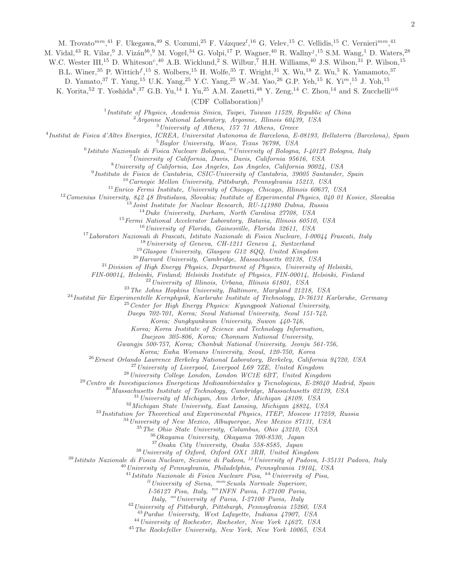M. Trovato<sup>mm</sup>,<sup>41</sup> F. Ukegawa,<sup>49</sup> S. Uozumi,<sup>25</sup> F. Vázquez<sup>l</sup>,<sup>16</sup> G. Velev,<sup>15</sup> C. Vellidis,<sup>15</sup> C. Vernieri<sup>mm</sup>,<sup>41</sup>

M. Vidal,<sup>43</sup> R. Vilar,<sup>9</sup> J. Vizán<sup>bb</sup>,<sup>9</sup> M. Vogel,<sup>34</sup> G. Volpi,<sup>17</sup> P. Wagner,<sup>40</sup> R. Wallny<sup>j</sup>,<sup>15</sup> S.M. Wang,<sup>1</sup> D. Waters,<sup>28</sup>

W.C. Wester III,<sup>15</sup> D. Whiteson<sup>c</sup>,<sup>40</sup> A.B. Wicklund,<sup>2</sup> S. Wilbur,<sup>7</sup> H.H. Williams,<sup>40</sup> J.S. Wilson,<sup>31</sup> P. Wilson,<sup>15</sup>

B.L. Winer,<sup>35</sup> P. Wittich<sup>f</sup>,<sup>15</sup> S. Wolbers,<sup>15</sup> H. Wolfe,<sup>35</sup> T. Wright,<sup>31</sup> X. Wu,<sup>18</sup> Z. Wu,<sup>5</sup> K. Yamamoto,<sup>37</sup>

D. Yamato,  $37$  T. Yang,  $15$  U.K. Yang,  $25$  Y.C. Yang,  $25$  W.-M. Yao,  $26$  G.P. Yeh,  $15$  K. Yi<sup>m</sup>,  $15$  J. Yoh,  $15$ 

K. Yorita,<sup>52</sup> T. Yoshida<sup>k</sup>,<sup>37</sup> G.B. Yu,<sup>14</sup> I. Yu,<sup>25</sup> A.M. Zanetti,<sup>48</sup> Y. Zeng,<sup>14</sup> C. Zhou,<sup>14</sup> and S. Zucchelli<sup>ii6</sup>

(CDF Collaboration)†

*Institute of Physics, Academia Sinica, Taipei, Taiwan 11529, Republic of China*

*Argonne National Laboratory, Argonne, Illinois 60439, USA*

*University of Athens, 157 71 Athens, Greece*

*Institut de Fisica d'Altes Energies, ICREA, Universitat Autonoma de Barcelona, E-08193, Bellaterra (Barcelona), Spain*

*Baylor University, Waco, Texas 76798, USA*

*Istituto Nazionale di Fisica Nucleare Bologna,* ii*University of Bologna, I-40127 Bologna, Italy*

*University of California, Davis, Davis, California 95616, USA*

*University of California, Los Angeles, Los Angeles, California 90024, USA*

*Instituto de Fisica de Cantabria, CSIC-University of Cantabria, 39005 Santander, Spain*

*Carnegie Mellon University, Pittsburgh, Pennsylvania 15213, USA*

*Enrico Fermi Institute, University of Chicago, Chicago, Illinois 60637, USA*

*Comenius University, 842 48 Bratislava, Slovakia; Institute of Experimental Physics, 040 01 Kosice, Slovakia*

*Joint Institute for Nuclear Research, RU-141980 Dubna, Russia*

*Duke University, Durham, North Carolina 27708, USA*

*Fermi National Accelerator Laboratory, Batavia, Illinois 60510, USA*

*University of Florida, Gainesville, Florida 32611, USA*

*Laboratori Nazionali di Frascati, Istituto Nazionale di Fisica Nucleare, I-00044 Frascati, Italy*

*University of Geneva, CH-1211 Geneva 4, Switzerland*

*Glasgow University, Glasgow G12 8QQ, United Kingdom*

*Harvard University, Cambridge, Massachusetts 02138, USA*

*Division of High Energy Physics, Department of Physics, University of Helsinki,*

*FIN-00014, Helsinki, Finland; Helsinki Institute of Physics, FIN-00014, Helsinki, Finland*

*University of Illinois, Urbana, Illinois 61801, USA*

*The Johns Hopkins University, Baltimore, Maryland 21218, USA*

<sup>24</sup>*Institut für Experimentelle Kernphysik, Karlsruhe Institute of Technology, D-76131 Karlsruhe, Germany* 

*Center for High Energy Physics: Kyungpook National University,*

*Daegu 702-701, Korea; Seoul National University, Seoul 151-742,*

*Korea; Sungkyunkwan University, Suwon 440-746,*

*Korea; Korea Institute of Science and Technology Information,*

*Daejeon 305-806, Korea; Chonnam National University,*

*Gwangju 500-757, Korea; Chonbuk National University, Jeonju 561-756,*

*Korea; Ewha Womans University, Seoul, 120-750, Korea*

*Ernest Orlando Lawrence Berkeley National Laboratory, Berkeley, California 94720, USA*

*University of Liverpool, Liverpool L69 7ZE, United Kingdom*

*University College London, London WC1E 6BT, United Kingdom*

*Centro de Investigaciones Energeticas Medioambientales y Tecnologicas, E-28040 Madrid, Spain*

*Massachusetts Institute of Technology, Cambridge, Massachusetts 02139, USA*

*University of Michigan, Ann Arbor, Michigan 48109, USA*

*Michigan State University, East Lansing, Michigan 48824, USA*

*Institution for Theoretical and Experimental Physics, ITEP, Moscow 117259, Russia*

*University of New Mexico, Albuquerque, New Mexico 87131, USA*

*The Ohio State University, Columbus, Ohio 43210, USA*

*Okayama University, Okayama 700-8530, Japan*

*Osaka City University, Osaka 558-8585, Japan*

*University of Oxford, Oxford OX1 3RH, United Kingdom*

*Istituto Nazionale di Fisica Nucleare, Sezione di Padova,* jj*University of Padova, I-35131 Padova, Italy*

*University of Pennsylvania, Philadelphia, Pennsylvania 19104, USA*

*Istituto Nazionale di Fisica Nucleare Pisa,* kk*University of Pisa,*

ll*University of Siena,* mm*Scuola Normale Superiore,*

*I-56127 Pisa, Italy,* nn*INFN Pavia, I-27100 Pavia,*

*Italy,* oo*University of Pavia, I-27100 Pavia, Italy*

*University of Pittsburgh, Pittsburgh, Pennsylvania 15260, USA*

*Purdue University, West Lafayette, Indiana 47907, USA*

*University of Rochester, Rochester, New York 14627, USA*

*The Rockefeller University, New York, New York 10065, USA*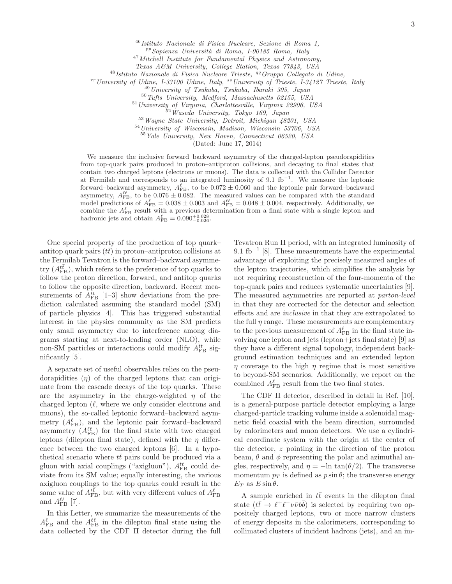<sup>46</sup>*Istituto Nazionale di Fisica Nucleare, Sezione di Roma 1,*

pp*Sapienza Universit`a di Roma, I-00185 Roma, Italy*

<sup>47</sup>*Mitchell Institute for Fundamental Physics and Astronomy,*

*Texas A&M University, College Station, Texas 77843, USA*

<sup>48</sup>*Istituto Nazionale di Fisica Nucleare Trieste,* qq*Gruppo Collegato di Udine,*

rr*University of Udine, I-33100 Udine, Italy,* ss*University of Trieste, I-34127 Trieste, Italy*

<sup>49</sup>*University of Tsukuba, Tsukuba, Ibaraki 305, Japan*

<sup>50</sup>*Tufts University, Medford, Massachusetts 02155, USA*

<sup>51</sup>*University of Virginia, Charlottesville, Virginia 22906, USA*

<sup>52</sup>*Waseda University, Tokyo 169, Japan*

<sup>53</sup>*Wayne State University, Detroit, Michigan 48201, USA*

<sup>54</sup>*University of Wisconsin, Madison, Wisconsin 53706, USA*

<sup>55</sup>*Yale University, New Haven, Connecticut 06520, USA*

(Dated: June 17, 2014)

We measure the inclusive forward–backward asymmetry of the charged-lepton pseudorapidities from top-quark pairs produced in proton–antiproton collisions, and decaying to final states that contain two charged leptons (electrons or muons). The data is collected with the Collider Detector at Fermilab and corresponds to an integrated luminosity of 9.1 fb<sup>−</sup><sup>1</sup> . We measure the leptonic forward–backward asymmetry,  $A_{\text{FB}}^{\ell}$ , to be  $0.072 \pm 0.060$  and the leptonic pair forward–backward asymmetry,  $A_{\text{FB}}^{\ell\ell}$ , to be 0.076  $\pm$  0.082. The measured values can be compared with the standard model predictions of  $A_{\text{FB}}^{\ell} = 0.038 \pm 0.003$  and  $A_{\text{FB}}^{\ell\ell} = 0.048 \pm 0.004$ , respectively. Additionally, we combine the  $A_{\text{FB}}^{\ell}$  result with a previous determination from a final state with a single lepton and hadronic jets and obtain  $A_{\text{FB}}^{\ell} = 0.090_{-0.026}^{+0.028}$ .

One special property of the production of top quark– antitop quark pairs  $(t\bar{t})$  in proton–antiproton collisions at the Fermilab Tevatron is the forward–backward asymmetry  $(A_{\text{FB}}^{t\bar{t}})$ , which refers to the preference of top quarks to follow the proton direction, forward, and antitop quarks to follow the opposite direction, backward. Recent measurements of  $\overline{A_{\text{FB}}^{t\bar{t}}}$  [1–3] show deviations from the prediction calculated assuming the standard model (SM) of particle physics [4]. This has triggered substantial interest in the physics community as the SM predicts only small asymmetry due to interference among diagrams starting at next-to-leading order (NLO), while non-SM particles or interactions could modify  $A_{\text{FB}}^{t\bar{t}}$  significantly [5].

A separate set of useful observables relies on the pseudorapidities  $(\eta)$  of the charged leptons that can originate from the cascade decays of the top quarks. These are the asymmetry in the charge-weighted  $\eta$  of the charged lepton  $(\ell,$  where we only consider electrons and muons), the so-called leptonic forward–backward asymmetry  $(A_{\text{FB}}^{\ell}),$  and the leptonic pair forward–backward asymmetry  $(A_{\text{FB}}^{\ell\ell})$  for the final state with two charged leptons (dilepton final state), defined with the  $\eta$  difference between the two charged leptons [6]. In a hypothetical scenario where  $t\bar{t}$  pairs could be produced via a gluon with axial couplings ("axigluon"),  $A_{\text{FB}}^{t\bar{t}}$  could deviate from its SM value; equally interesting, the various axigluon couplings to the top quarks could result in the same value of  $A_{\text{FB}}^{t\bar{t}}$ , but with very different values of  $A_{\text{FB}}^{\ell}$ and  $A_{\text{FB}}^{\ell\ell}$  [7].

In this Letter, we summarize the measurements of the  $A_{\text{FB}}^{\ell}$  and the  $A_{\text{FB}}^{\ell\ell}$  in the dilepton final state using the data collected by the CDF II detector during the full

Tevatron Run II period, with an integrated luminosity of  $9.1 \text{ fb}^{-1}$  [8]. These measurements have the experimental advantage of exploiting the precisely measured angles of the lepton trajectories, which simplifies the analysis by not requiring reconstruction of the four-momenta of the top-quark pairs and reduces systematic uncertainties [9]. The measured asymmetries are reported at parton-level in that they are corrected for the detector and selection effects and are inclusive in that they are extrapolated to the full  $\eta$  range. These measurements are complementary to the previous measurement of  $A_{\rm FB}^{\ell}$  in the final state involving one lepton and jets (lepton+jets final state) [9] as they have a different signal topology, independent background estimation techniques and an extended lepton  $\eta$  coverage to the high  $\eta$  regime that is most sensitive to beyond-SM scenarios. Additionally, we report on the combined  $A_{\text{FB}}^{\ell}$  result from the two final states.

The CDF II detector, described in detail in Ref. [10], is a general-purpose particle detector employing a large charged-particle tracking volume inside a solenoidal magnetic field coaxial with the beam direction, surrounded by calorimeters and muon detectors. We use a cylindrical coordinate system with the origin at the center of the detector, z pointing in the direction of the proton beam,  $\theta$  and  $\phi$  representing the polar and azimuthal angles, respectively, and  $\eta = -\ln \tan(\theta/2)$ . The transverse momentum  $p_T$  is defined as  $p \sin \theta$ ; the transverse energy  $E_T$  as  $E \sin \theta$ .

A sample enriched in  $t\bar{t}$  events in the dilepton final state  $(t\bar{t} \rightarrow \ell^+ \ell^- \nu \bar{\nu} b \bar{b})$  is selected by requiring two oppositely charged leptons, two or more narrow clusters of energy deposits in the calorimeters, corresponding to collimated clusters of incident hadrons (jets), and an im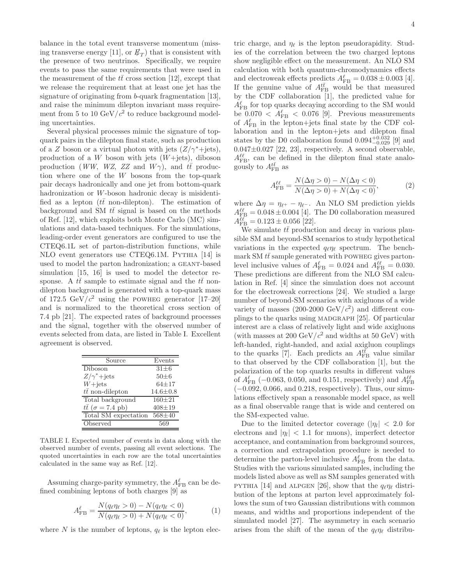balance in the total event transverse momentum (missing transverse energy [11], or  $\not\hspace{-.15cm}E_T$ ) that is consistent with the presence of two neutrinos. Specifically, we require events to pass the same requirements that were used in the measurement of the  $t\bar{t}$  cross section [12], except that we release the requirement that at least one jet has the signature of originating from b-quark fragmentation [13], and raise the minimum dilepton invariant mass requirement from 5 to 10  $\text{GeV}/c^2$  to reduce background modeling uncertainties.

Several physical processes mimic the signature of topquark pairs in the dilepton final state, such as production of a Z boson or a virtual photon with jets  $(Z/\gamma^*+{\rm jets})$ , production of a  $W$  boson with jets  $(W+jets)$ , diboson production (WW, WZ, ZZ and  $W\gamma$ ), and  $t\bar{t}$  production where one of the  $W$  bosons from the top-quark pair decays hadronically and one jet from bottom-quark hadronization or W-boson hadronic decay is misidentified as a lepton ( $t\bar{t}$  non-dilepton). The estimation of background and SM  $t\bar{t}$  signal is based on the methods of Ref. [12], which exploits both Monte Carlo (MC) simulations and data-based techniques. For the simulations, leading-order event generators are configured to use the CTEQ6.1L set of parton-distribution functions, while NLO event generators use CTEQ6.1M. PYTHIA [14] is used to model the parton hadronization; a geant-based simulation [15, 16] is used to model the detector response. A  $t\bar{t}$  sample to estimate signal and the  $t\bar{t}$  nondilepton background is generated with a top-quark mass of 172.5 GeV/ $c^2$  using the POWHEG generator [17-20] and is normalized to the theoretical cross section of 7.4 pb [21]. The expected rates of background processes and the signal, together with the observed number of events selected from data, are listed in Table I. Excellent agreement is observed.

| Source                          | Events         |
|---------------------------------|----------------|
| Diboson                         | $31 + 6$       |
| $Z/\gamma^*+{\rm jets}$         | $50\pm6$       |
| $W+{\rm jets}$                  | $64 + 17$      |
| $t\bar{t}$ non-dilepton         | $14.6 \pm 0.8$ |
| Total background                | $160 + 21$     |
| $t\bar{t}$ ( $\sigma$ = 7.4 pb) | $408 + 19$     |
| Total SM expectation            | $568 + 40$     |
| Observed                        | 569            |

TABLE I. Expected number of events in data along with the observed number of events, passing all event selections. The quoted uncertainties in each row are the total uncertainties calculated in the same way as Ref. [12].

Assuming charge-parity symmetry, the  $A_{\rm FB}^{\ell}$  can be defined combining leptons of both charges [9] as

$$
A_{\rm FB}^{\ell} = \frac{N(q_{\ell}\eta_{\ell} > 0) - N(q_{\ell}\eta_{\ell} < 0)}{N(q_{\ell}\eta_{\ell} > 0) + N(q_{\ell}\eta_{\ell} < 0)},
$$
(1)

where N is the number of leptons,  $q_{\ell}$  is the lepton elec-

tric charge, and  $\eta_{\ell}$  is the lepton pseudorapidity. Studies of the correlation between the two charged leptons show negligible effect on the measurement. An NLO SM calculation with both quantum-chromodynamics effects and electroweak effects predicts  $A_{\text{FB}}^{\ell} = 0.038 \pm 0.003$  [4]. If the genuine value of  $A_{FB}^{t\bar{t}}$  would be that measured by the CDF collaboration [1], the predicted value for  $A_{\text{FB}}^{\ell}$  for top quarks decaying according to the SM would be  $0.070 < A_{\text{FB}}^{\ell} < 0.076$  [9]. Previous measurements of  $A_{\text{FB}}^{\ell}$  in the lepton+jets final state by the CDF collaboration and in the lepton+jets and dilepton final states by the D0 collaboration found  $0.094_{-0.029}^{+0.032}$  [9] and  $0.047\pm0.027$  [22, 23], respectively. A second observable,  $A_{\text{FB}}^{\ell\ell}$ , can be defined in the dilepton final state analogously to  $A_{\text{FB}}^{t\bar{t}}$  as

$$
A_{\text{FB}}^{\ell\ell} = \frac{N(\Delta\eta > 0) - N(\Delta\eta < 0)}{N(\Delta\eta > 0) + N(\Delta\eta < 0)},
$$
 (2)

where  $\Delta \eta = \eta_{\ell^+} - \eta_{\ell^-}$ . An NLO SM prediction yields  $A_{\text{FB}}^{\ell\ell} = 0.048 \pm 0.004$  [4]. The D0 collaboration measured  $A_{\text{FB}}^{\ell\ell} = 0.123 \pm 0.056$  [22].

We simulate  $t\bar{t}$  production and decay in various plausible SM and beyond-SM scenarios to study hypothetical variations in the expected  $q_{\ell} \eta_{\ell}$  spectrum. The benchmark SM  $t\bar{t}$  sample generated with POWHEG gives partonlevel inclusive values of  $A_{\text{FB}}^{\ell} = 0.024$  and  $A_{\text{FB}}^{\ell\ell} = 0.030$ . These predictions are different from the NLO SM calculation in Ref. [4] since the simulation does not account for the electroweak corrections [24]. We studied a large number of beyond-SM scenarios with axigluons of a wide variety of masses  $(200-2000 \text{ GeV}/c^2)$  and different couplings to the quarks using madgraph [25]. Of particular interest are a class of relatively light and wide axigluons (with masses at 200 GeV/ $c^2$  and widths at 50 GeV) with left-handed, right-handed, and axial axigluon couplings to the quarks [7]. Each predicts an  $A_{\text{FB}}^{t\bar{t}}$  value similar to that observed by the CDF collaboration [1], but the polarization of the top quarks results in different values of  $A_{\text{FB}}^{\ell}$  (-0.063, 0.050, and 0.151, respectively) and  $A_{\text{FB}}^{\ell\ell}$ (−0.092, 0.066, and 0.218, respectively). Thus, our simulations effectively span a reasonable model space, as well as a final observable range that is wide and centered on the SM-expected value.

Due to the limited detector coverage  $(|\eta_l| < 2.0$  for electrons and  $|\eta_l|$  < 1.1 for muons), imperfect detector acceptance, and contamination from background sources, a correction and extrapolation procedure is needed to determine the parton-level inclusive  $A_{\text{FB}}^{\ell}$  from the data. Studies with the various simulated samples, including the models listed above as well as SM samples generated with PYTHIA [14] and ALPGEN [26], show that the  $q_{\ell} \eta_{\ell}$  distribution of the leptons at parton level approximately follows the sum of two Gaussian distributions with common means, and widths and proportions independent of the simulated model [27]. The asymmetry in each scenario arises from the shift of the mean of the  $q_{\ell} \eta_{\ell}$  distribu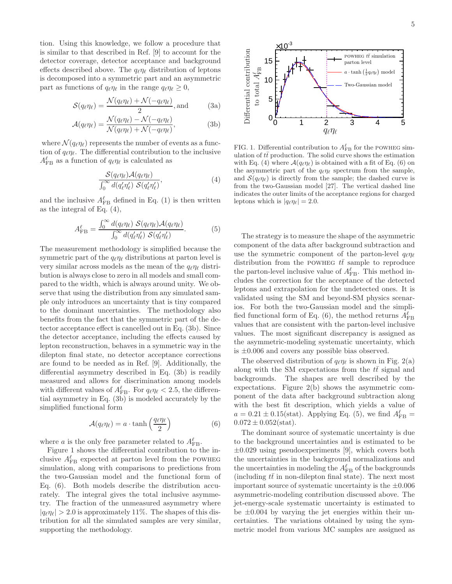tion. Using this knowledge, we follow a procedure that is similar to that described in Ref. [9] to account for the detector coverage, detector acceptance and background effects described above. The  $q_{\ell} \eta_{\ell}$  distribution of leptons is decomposed into a symmetric part and an asymmetric part as functions of  $q_{\ell} \eta_{\ell}$  in the range  $q_{\ell} \eta_{\ell} \geq 0$ ,

$$
S(q_{\ell}\eta_{\ell}) = \frac{\mathcal{N}(q_{\ell}\eta_{\ell}) + \mathcal{N}(-q_{\ell}\eta_{\ell})}{2}, \text{and} \tag{3a}
$$

$$
\mathcal{A}(q_{\ell}\eta_{\ell}) = \frac{\mathcal{N}(q_{\ell}\eta_{\ell}) - \mathcal{N}(-q_{\ell}\eta_{\ell})}{\mathcal{N}(q_{\ell}\eta_{\ell}) + \mathcal{N}(-q_{\ell}\eta_{\ell})},
$$
(3b)

where  $\mathcal{N}(q_{\ell}\eta_{\ell})$  represents the number of events as a function of  $q_{\ell}\eta_{\ell}$ . The differential contribution to the inclusive  $A_{\text{FB}}^{\ell}$  as a function of  $q_{\ell}\eta_{\ell}$  is calculated as

$$
\frac{\mathcal{S}(q_{\ell}\eta_{\ell})\mathcal{A}(q_{\ell}\eta_{\ell})}{\int_0^{\infty} d(q'_{\ell}\eta'_{\ell}) \mathcal{S}(q'_{\ell}\eta'_{\ell})},\tag{4}
$$

and the inclusive  $A_{\text{FB}}^{\ell}$  defined in Eq. (1) is then written as the integral of Eq. (4),

$$
A_{\text{FB}}^{\ell} = \frac{\int_0^{\infty} d(q_{\ell}\eta_{\ell}) \ S(q_{\ell}\eta_{\ell}) \mathcal{A}(q_{\ell}\eta_{\ell})}{\int_0^{\infty} d(q_{\ell}'\eta_{\ell}') \ S(q_{\ell}'\eta_{\ell}')}.
$$
(5)

The measurement methodology is simplified because the symmetric part of the  $q_{\ell}\eta_{\ell}$  distributions at parton level is very similar across models as the mean of the  $q_{\ell} \eta_{\ell}$  distribution is always close to zero in all models and small compared to the width, which is always around unity. We observe that using the distribution from any simulated sample only introduces an uncertainty that is tiny compared to the dominant uncertainties. The methodology also benefits from the fact that the symmetric part of the detector acceptance effect is cancelled out in Eq. (3b). Since the detector acceptance, including the effects caused by lepton reconstruction, behaves in a symmetric way in the dilepton final state, no detector acceptance corrections are found to be needed as in Ref. [9]. Additionally, the differential asymmetry described in Eq. (3b) is readily measured and allows for discrimination among models with different values of  $A_{\text{FB}}^{\ell}$ . For  $q_{\ell} \eta_{\ell} < 2.5$ , the differential asymmetry in Eq. (3b) is modeled accurately by the simplified functional form

$$
\mathcal{A}(q_{\ell}\eta_{\ell}) = a \cdot \tanh\left(\frac{q_{\ell}\eta_{\ell}}{2}\right) \tag{6}
$$

where a is the only free parameter related to  $A_{\text{FB}}^{\ell}$ .

Figure 1 shows the differential contribution to the inclusive  $A_{\text{FB}}^{\ell}$  expected at parton level from the POWHEG simulation, along with comparisons to predictions from the two-Gaussian model and the functional form of Eq. (6). Both models describe the distribution accurately. The integral gives the total inclusive asymmetry. The fraction of the unmeasured asymmetry where  $|q_{\ell}\eta_{\ell}| > 2.0$  is approximately 11%. The shapes of this distribution for all the simulated samples are very similar, supporting the methodology.



FIG. 1. Differential contribution to  $A_{\text{FB}}^{\ell}$  for the POWHEG simulation of  $t\bar{t}$  production. The solid curve shows the estimation with Eq. (4) where  $\mathcal{A}(q_{\ell}\eta_{\ell})$  is obtained with a fit of Eq. (6) on the asymmetric part of the  $q_{\ell} \eta_{\ell}$  spectrum from the sample, and  $\mathcal{S}(q_{\ell}\eta_{\ell})$  is directly from the sample; the dashed curve is from the two-Gaussian model [27]. The vertical dashed line indicates the outer limits of the acceptance regions for charged leptons which is  $|q_{\ell}\eta_{\ell}| = 2.0$ .

The strategy is to measure the shape of the asymmetric component of the data after background subtraction and use the symmetric component of the parton-level  $q_{\ell} \eta_{\ell}$ distribution from the POWHEG  $t\bar{t}$  sample to reproduce the parton-level inclusive value of  $A_{\text{FB}}^{\ell}$ . This method includes the correction for the acceptance of the detected leptons and extrapolation for the undetected ones. It is validated using the SM and beyond-SM physics scenarios. For both the two-Gaussian model and the simplified functional form of Eq. (6), the method returns  $A_{\text{FB}}^{\ell}$ values that are consistent with the parton-level inclusive values. The most significant discrepancy is assigned as the asymmetric-modeling systematic uncertainty, which is  $\pm 0.006$  and covers any possible bias observed.

The observed distribution of  $q_{\ell}\eta_{\ell}$  is shown in Fig. 2(a) along with the SM expectations from the  $t\bar{t}$  signal and backgrounds. The shapes are well described by the expectations. Figure 2(b) shows the asymmetric component of the data after background subtraction along with the best fit description, which yields a value of  $a = 0.21 \pm 0.15$ (stat). Applying Eq. (5), we find  $A_{\text{FB}}^{\ell} =$  $0.072 \pm 0.052$ (stat).

The dominant source of systematic uncertainty is due to the background uncertainties and is estimated to be  $\pm 0.029$  using pseudoexperiments [9], which covers both the uncertainties in the background normalizations and the uncertainties in modeling the  $A_{\rm FB}^{\ell}$  of the backgrounds (including  $t\bar{t}$  in non-dilepton final state). The next most important source of systematic uncertainty is the  $\pm 0.006$ asymmetric-modeling contribution discussed above. The jet-energy-scale systematic uncertainty is estimated to be  $\pm 0.004$  by varying the jet energies within their uncertainties. The variations obtained by using the symmetric model from various MC samples are assigned as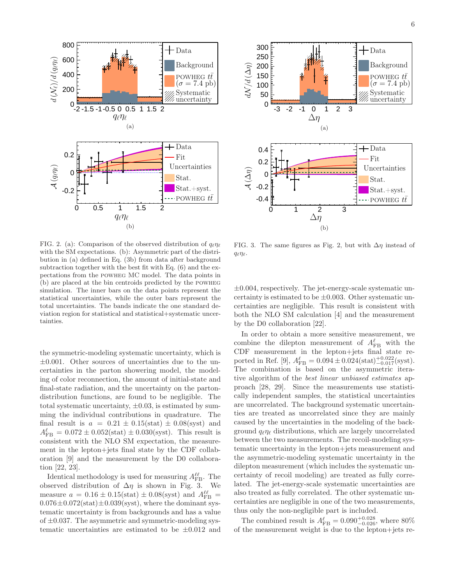

FIG. 2. (a): Comparison of the observed distribution of  $q_{\ell} \eta_{\ell}$ with the SM expectations. (b): Asymmetric part of the distribution in (a) defined in Eq. (3b) from data after background subtraction together with the best fit with Eq. (6) and the expectations from the powheg MC model. The data points in (b) are placed at the bin centroids predicted by the powheg simulation. The inner bars on the data points represent the statistical uncertainties, while the outer bars represent the total uncertainties. The bands indicate the one standard deviation region for statistical and statistical+systematic uncertainties.

the symmetric-modeling systematic uncertainty, which is  $\pm 0.001$ . Other sources of uncertainties due to the uncertainties in the parton showering model, the modeling of color reconnection, the amount of initial-state and final-state radiation, and the uncertainty on the partondistribution functions, are found to be negligible. The total systematic uncertainty,  $\pm 0.03$ , is estimated by summing the individual contributions in quadrature. The final result is  $a = 0.21 \pm 0.15(\text{stat}) \pm 0.08(\text{syst})$  and  $A_{\text{FB}}^{\ell} = 0.072 \pm 0.052 \text{(stat)} \pm 0.030 \text{(syst)}.$  This result is consistent with the NLO SM expectation, the measurement in the lepton+jets final state by the CDF collaboration [9] and the measurement by the D0 collaboration [22, 23].

Identical methodology is used for measuring  $A_{\text{FB}}^{\ell\ell}$ . The observed distribution of  $\Delta \eta$  is shown in Fig. 3. We measure  $a = 0.16 \pm 0.15$ (stat)  $\pm 0.08$ (syst) and  $A_{\text{FB}}^{\ell\ell}$  =  $0.076\pm0.072(\mathrm{stat})\pm0.039(\mathrm{syst}),$  where the dominant systematic uncertainty is from backgrounds and has a value of  $\pm 0.037$ . The asymmetric and symmetric-modeling systematic uncertainties are estimated to be  $\pm 0.012$  and



FIG. 3. The same figures as Fig. 2, but with  $\Delta \eta$  instead of  $q_{\ell}\eta_{\ell}$ .

 $\pm 0.004$ , respectively. The jet-energy-scale systematic uncertainty is estimated to be  $\pm 0.003$ . Other systematic uncertainties are negligible. This result is consistent with both the NLO SM calculation [4] and the measurement by the D0 collaboration [22].

In order to obtain a more sensitive measurement, we combine the dilepton measurement of  $A_{\text{FB}}^{\ell}$  with the CDF measurement in the lepton+jets final state reported in Ref. [9],  $A_{\text{FB}}^{\ell} = 0.094 \pm 0.024 \text{(stat)} \frac{+0.022}{-0.017} \text{(syst)}$ . The combination is based on the asymmetric iterative algorithm of the best linear unbiased estimates approach [28, 29]. Since the measurements use statistically independent samples, the statistical uncertainties are uncorrelated. The background systematic uncertainties are treated as uncorrelated since they are mainly caused by the uncertainties in the modeling of the background  $q_{\ell} \eta_{\ell}$  distributions, which are largely uncorrelated between the two measurements. The recoil-modeling systematic uncertainty in the lepton+jets measurement and the asymmetric-modeling systematic uncertainty in the dilepton measurement (which includes the systematic uncertainty of recoil modeling) are treated as fully correlated. The jet-energy-scale systematic uncertainties are also treated as fully correlated. The other systematic uncertainties are negligible in one of the two measurements, thus only the non-negligible part is included.

The combined result is  $A_{\text{FB}}^{\ell} = 0.090_{-0.026}^{+0.028}$ , where 80% of the measurement weight is due to the lepton+jets re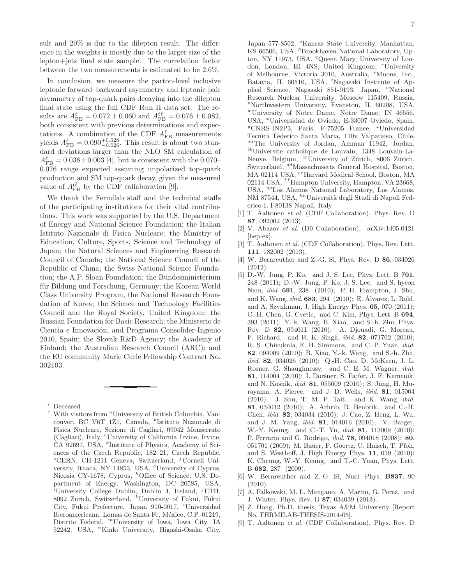sult and 20% is due to the dilepton result. The difference in the weights is mostly due to the larger size of the lepton+jets final state sample. The correlation factor between the two measurements is estimated to be 2.6%.

In conclusion, we measure the parton-level inclusive leptonic forward–backward asymmetry and leptonic pair asymmetry of top-quark pairs decaying into the dilepton final state using the full CDF Run II data set. The results are  $A_{\text{FB}}^{\ell} = 0.072 \pm 0.060$  and  $A_{\text{FB}}^{\ell\ell} = 0.076 \pm 0.082$ , both consistent with previous determinations and expectations. A combination of the CDF  $A_{\text{FB}}^{\ell}$  measurements yields  $A_{\text{FB}}^{\ell} = 0.090_{-0.026}^{+0.028}$ . This result is about two standard deviations larger than the NLO SM calculation of  $A_{\text{FB}}^{\ell} = 0.038 \pm 0.003$  [4], but is consistent with the 0.070– 0.076 range expected assuming unpolarized top-quark production and SM top-quark decay, given the measured value of  $A_{\text{FB}}^{t\bar{t}}$  by the CDF collaboration [9].

We thank the Fermilab staff and the technical staffs of the participating institutions for their vital contributions. This work was supported by the U.S. Department of Energy and National Science Foundation; the Italian Istituto Nazionale di Fisica Nucleare; the Ministry of Education, Culture, Sports, Science and Technology of Japan; the Natural Sciences and Engineering Research Council of Canada; the National Science Council of the Republic of China; the Swiss National Science Foundation; the A.P. Sloan Foundation; the Bundesministerium für Bildung und Forschung, Germany; the Korean World Class University Program, the National Research Foundation of Korea; the Science and Technology Facilities Council and the Royal Society, United Kingdom; the Russian Foundation for Basic Research; the Ministerio de Ciencia e Innovación, and Programa Consolider-Ingenio 2010, Spain; the Slovak R&D Agency; the Academy of Finland; the Australian Research Council (ARC); and the EU community Marie Curie Fellowship Contract No. 302103.

Japan 577-8502, °Kansas State University, Manhattan, KS 66506, USA, <sup>*p*</sup>Brookhaven National Laboratory, Upton, NY 11973, USA, <sup>q</sup>Queen Mary, University of London, London, E1 4NS, United Kingdom, "University of Melbourne, Victoria 3010, Australia, <sup>s</sup>Muons, Inc., Batavia, IL 60510, USA, <sup>t</sup>Nagasaki Institute of Applied Science, Nagasaki 851-0193, Japan, "National Research Nuclear University, Moscow 115409, Russia,  $v$ Northwestern University, Evanston, IL 60208, USA, <sup>w</sup>University of Notre Dame, Notre Dame, IN 46556, USA, <sup>x</sup>Universidad de Oviedo, E-33007 Oviedo, Spain,  $\rm^9CNRS\text{-}IN2P3$ , Paris, F-75205 France, <sup>z</sup>Universidad Tecnica Federico Santa Maria, 110v Valparaiso, Chile, aaThe University of Jordan, Amman 11942, Jordan, bbUniversite catholique de Louvain, 1348 Louvain-La-Neuve, Belgium, <sup>cc</sup>University of Zürich, 8006 Zürich, Switzerland, <sup>dd</sup>Massachusetts General Hospital, Boston, MA 02114 USA, eeHarvard Medical School, Boston, MA 02114 USA,  $^{ff}$ Hampton University, Hampton, VA 23668, USA, <sup>99</sup>Los Alamos National Laboratory, Los Alamos, NM 87544, USA,  $^{hh}$ Università degli Studi di Napoli Federico I, I-80138 Napoli, Italy

- [1] T. Aaltonen *et al.* (CDF Collaboration), Phys. Rev. D 87, 092002 (2013).
- [2] V. Abazov *et al.* (D0 Collaboration), arXiv:1405.0421 [hep-ex].
- [3] T. Aaltonen *et al.* (CDF Collaboration), Phys. Rev. Lett. 111, 182002 (2013).
- [4] W. Bernreuther and Z.-G. Si, Phys. Rev. D 86, 034026 (2012).
- [5] D.-W. Jung, P. Ko, and J. S. Lee, Phys. Lett. B 701, 248 (2011); D.-W. Jung, P. Ko, J. S. Lee, and S. hyeon Nam, *ibid*. 691, 238 (2010); P. H. Frampton, J. Shu, and K. Wang, *ibid*. 683, 294 (2010); E. Alvarez, L. Rold, ´ and A. Szynkman, J. High Energy Phys. 05, 070 (2011); C.-H. Chen, G. Cvetic, and C. Kim, Phys. Lett. B 694, 393 (2011); Y.-k. Wang, B. Xiao, and S.-h. Zhu, Phys. Rev. D 82, 094011 (2010); A. Djouadi, G. Moreau, F. Richard, and R. K. Singh, *ibid*. 82, 071702 (2010); R. S. Chivukula, E. H. Simmons, and C.-P. Yuan, *ibid*. 82, 094009 (2010); B. Xiao, Y.-k. Wang, and S.-h. Zhu, *ibid*. 82, 034026 (2010); Q.-H. Cao, D. McKeen, J. L. Rosner, G. Shaughnessy, and C. E. M. Wagner, *ibid*. 81, 114004 (2010); I. Doršner, S. Fajfer, J. F. Kamenik, and N. Košnik, *ibid.* **81**, 055009 (2010); S. Jung, H. Murayama, A. Pierce, and J. D. Wells, *ibid*. 81, 015004 (2010); J. Shu, T. M. P. Tait, and K. Wang, *ibid*. 81, 034012 (2010); A. Arhrib, R. Benbrik, and C.-H. Chen, *ibid*. 82, 034034 (2010); J. Cao, Z. Heng, L. Wu, and J. M. Yang, *ibid*. 81, 014016 (2010); V. Barger, W.-Y. Keung, and C.-T. Yu, *ibid*. 81, 113009 (2010); P. Ferrario and G. Rodrigo, *ibid*. 78, 094018 (2008); 80, 051701 (2009); M. Bauer, F. Goertz, U. Haisch, T. Pfoh, and S. Westhoff, J. High Energy Phys. 11, 039 (2010); K. Cheung, W.-Y. Keung, and T.-C. Yuan, Phys. Lett. B 682, 287 (2009).
- [6] W. Bernreuther and Z.-G. Si, Nucl. Phys. B837, 90  $(2010).$
- [7] A. Falkowski, M. L. Mangano, A. Martin, G. Perez, and J. Winter, Phys. Rev. D 87, 034039 (2013).
- [8] Z. Hong, Ph.D. thesis, Texas A&M University [Report No. FERMILAB-THESIS-2014-05].
- [9] T. Aaltonen *et al.* (CDF Collaboration), Phys. Rev. D

<sup>∗</sup> Deceased

<sup>&</sup>lt;sup>†</sup> With visitors from <sup>a</sup>University of British Columbia, Vancouver, BC V6T 1Z1, Canada, <sup>b</sup>Istituto Nazionale di Fisica Nucleare, Sezione di Cagliari, 09042 Monserrato (Cagliari), Italy, <sup>c</sup>University of California Irvine, Irvine, CA 92697, USA, <sup>d</sup>Institute of Physics, Academy of Sciences of the Czech Republic, 182 21, Czech Republic,  ${}^e$ CERN, CH-1211 Geneva, Switzerland, <sup>f</sup>Cornell University, Ithaca, NY 14853, USA, <sup>9</sup>University of Cyprus, Nicosia CY-1678, Cyprus, <sup>h</sup>Office of Science, U.S. Department of Energy, Washington, DC 20585, USA, <sup>*i*</sup>University College Dublin, Dublin 4, Ireland, <sup>*j*</sup>ETH, 8092 Zürich, Switzerland, <sup>k</sup>University of Fukui, Fukui City, Fukui Prefecture, Japan 910-0017, <sup>*l*</sup>Universidad Iberoamericana, Lomas de Santa Fe, México, C.P. 01219, Distrito Federal, <sup>m</sup>University of Iowa, Iowa City, IA 52242, USA, "Kinki University, Higashi-Osaka City,